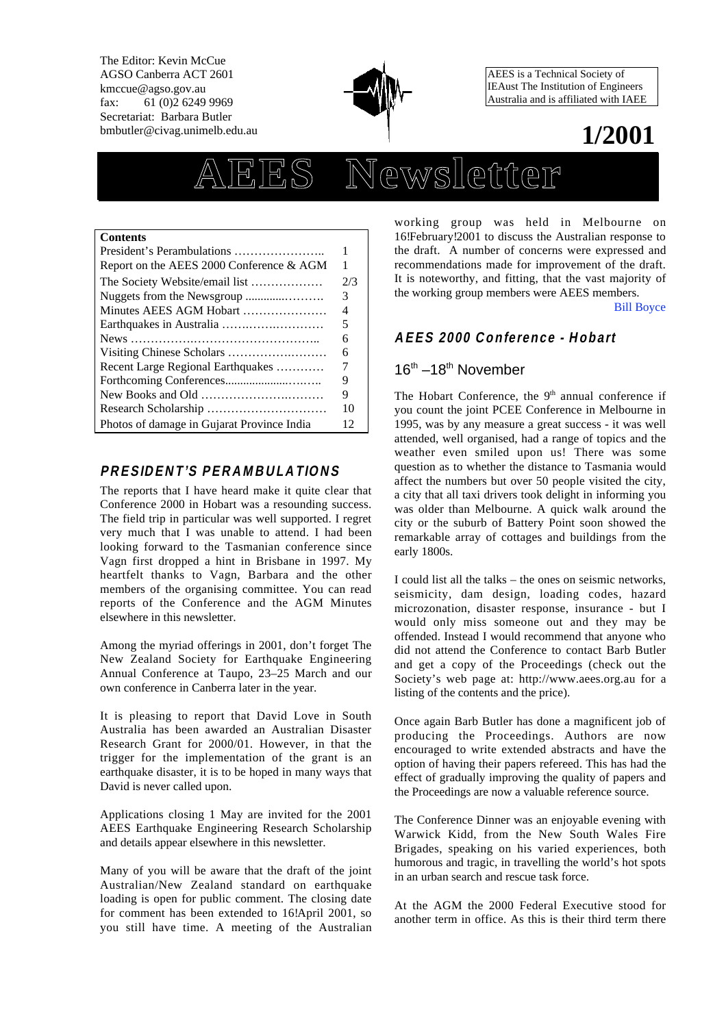The Editor: Kevin McCue AGSO Canberra ACT 2601 kmccue@agso.gov.au fax: 61 (0)2 6249 9969 Secretariat: Barbara Butler bmbutler@civag.unimelb.edu.au



AEES is a Technical Society of IEAust The Institution of Engineers Australia and is affiliated with IAEE

# **1/2001**

# **AEES Newsletter**

#### **Contents**

| President's Perambulations                 |     |
|--------------------------------------------|-----|
| Report on the AEES 2000 Conference & AGM   |     |
| The Society Website/email list             | 2/3 |
| Nuggets from the Newsgroup                 | 3   |
| Minutes AEES AGM Hobart                    | 4   |
|                                            | 5   |
|                                            | 6   |
|                                            | 6   |
| Recent Large Regional Earthquakes          | 7   |
|                                            | 9   |
|                                            | 9   |
|                                            | 10  |
| Photos of damage in Gujarat Province India | 12  |

## **PRESIDENT'S PERAMBULATIONS**

The reports that I have heard make it quite clear that Conference 2000 in Hobart was a resounding success. The field trip in particular was well supported. I regret very much that I was unable to attend. I had been looking forward to the Tasmanian conference since Vagn first dropped a hint in Brisbane in 1997. My heartfelt thanks to Vagn, Barbara and the other members of the organising committee. You can read reports of the Conference and the AGM Minutes elsewhere in this newsletter.

Among the myriad offerings in 2001, don't forget The New Zealand Society for Earthquake Engineering Annual Conference at Taupo, 23–25 March and our own conference in Canberra later in the year.

It is pleasing to report that David Love in South Australia has been awarded an Australian Disaster Research Grant for 2000/01. However, in that the trigger for the implementation of the grant is an earthquake disaster, it is to be hoped in many ways that David is never called upon.

Applications closing 1 May are invited for the 2001 AEES Earthquake Engineering Research Scholarship and details appear elsewhere in this newsletter.

Many of you will be aware that the draft of the joint Australian/New Zealand standard on earthquake loading is open for public comment. The closing date for comment has been extended to 16 April 2001, so you still have time. A meeting of the Australian

working group was held in Melbourne on 16 February 2001 to discuss the Australian response to the draft. A number of concerns were expressed and recommendations made for improvement of the draft. It is noteworthy, and fitting, that the vast majority of the working group members were AEES members.

Bill Boyce

# **AEES 2000 Conference - Hobart**

# $16<sup>th</sup> - 18<sup>th</sup>$  November

The Hobart Conference, the  $9<sup>th</sup>$  annual conference if you count the joint PCEE Conference in Melbourne in 1995, was by any measure a great success - it was well attended, well organised, had a range of topics and the weather even smiled upon us! There was some question as to whether the distance to Tasmania would affect the numbers but over 50 people visited the city, a city that all taxi drivers took delight in informing you was older than Melbourne. A quick walk around the city or the suburb of Battery Point soon showed the remarkable array of cottages and buildings from the early 1800s.

I could list all the talks – the ones on seismic networks, seismicity, dam design, loading codes, hazard microzonation, disaster response, insurance - but I would only miss someone out and they may be offended. Instead I would recommend that anyone who did not attend the Conference to contact Barb Butler and get a copy of the Proceedings (check out the Society's web page at: http://www.aees.org.au for a listing of the contents and the price).

Once again Barb Butler has done a magnificent job of producing the Proceedings. Authors are now encouraged to write extended abstracts and have the option of having their papers refereed. This has had the effect of gradually improving the quality of papers and the Proceedings are now a valuable reference source.

The Conference Dinner was an enjoyable evening with Warwick Kidd, from the New South Wales Fire Brigades, speaking on his varied experiences, both humorous and tragic, in travelling the world's hot spots in an urban search and rescue task force.

At the AGM the 2000 Federal Executive stood for another term in office. As this is their third term there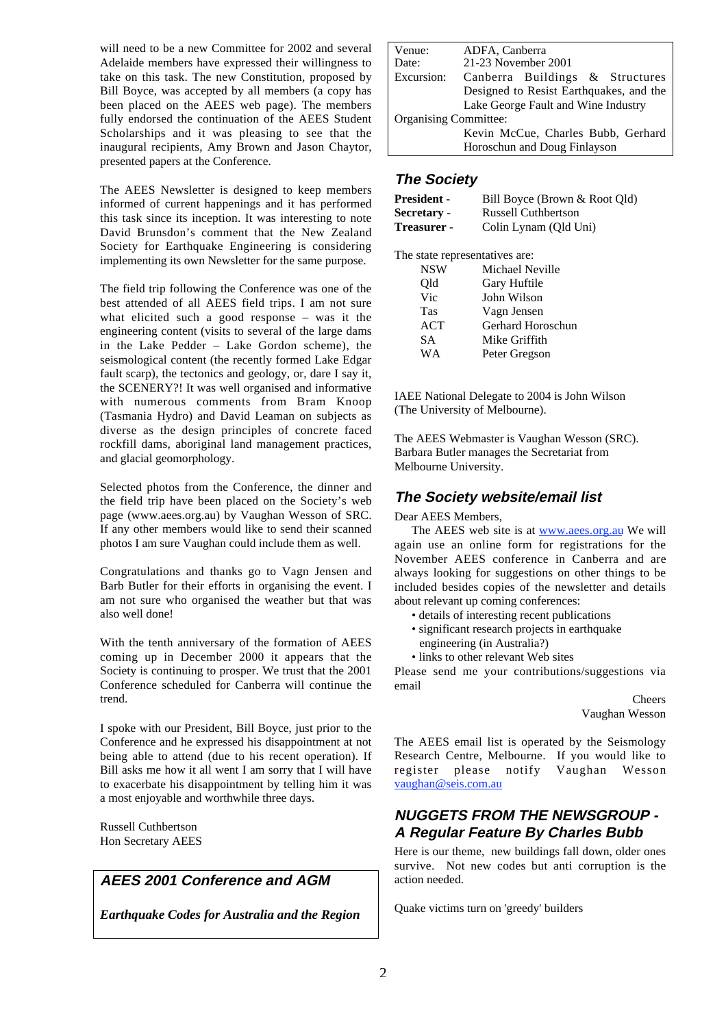will need to be a new Committee for 2002 and several Adelaide members have expressed their willingness to take on this task. The new Constitution, proposed by Bill Boyce, was accepted by all members (a copy has been placed on the AEES web page). The members fully endorsed the continuation of the AEES Student Scholarships and it was pleasing to see that the inaugural recipients, Amy Brown and Jason Chaytor, presented papers at the Conference.

The AEES Newsletter is designed to keep members informed of current happenings and it has performed this task since its inception. It was interesting to note David Brunsdon's comment that the New Zealand Society for Earthquake Engineering is considering implementing its own Newsletter for the same purpose.

The field trip following the Conference was one of the best attended of all AEES field trips. I am not sure what elicited such a good response – was it the engineering content (visits to several of the large dams in the Lake Pedder – Lake Gordon scheme), the seismological content (the recently formed Lake Edgar fault scarp), the tectonics and geology, or, dare I say it, the SCENERY?! It was well organised and informative with numerous comments from Bram Knoop (Tasmania Hydro) and David Leaman on subjects as diverse as the design principles of concrete faced rockfill dams, aboriginal land management practices, and glacial geomorphology.

Selected photos from the Conference, the dinner and the field trip have been placed on the Society's web page (www.aees.org.au) by Vaughan Wesson of SRC. If any other members would like to send their scanned photos I am sure Vaughan could include them as well.

Congratulations and thanks go to Vagn Jensen and Barb Butler for their efforts in organising the event. I am not sure who organised the weather but that was also well done!

With the tenth anniversary of the formation of AEES coming up in December 2000 it appears that the Society is continuing to prosper. We trust that the 2001 Conference scheduled for Canberra will continue the trend.

I spoke with our President, Bill Boyce, just prior to the Conference and he expressed his disappointment at not being able to attend (due to his recent operation). If Bill asks me how it all went I am sorry that I will have to exacerbate his disappointment by telling him it was a most enjoyable and worthwhile three days.

Russell Cuthbertson Hon Secretary AEES

# **AEES 2001 Conference and AGM**

*Earthquake Codes for Australia and the Region*

| Venue:                       | ADFA, Canberra                          |  |  |  |  |  |
|------------------------------|-----------------------------------------|--|--|--|--|--|
| Date:                        | 21-23 November 2001                     |  |  |  |  |  |
| Excursion:                   | Canberra Buildings & Structures         |  |  |  |  |  |
|                              | Designed to Resist Earthquakes, and the |  |  |  |  |  |
|                              | Lake George Fault and Wine Industry     |  |  |  |  |  |
| <b>Organising Committee:</b> |                                         |  |  |  |  |  |
|                              | Kevin McCue, Charles Bubb, Gerhard      |  |  |  |  |  |
|                              | Horoschun and Doug Finlayson            |  |  |  |  |  |

# **The Society**

| <b>President</b> -             | Bill Boyce (Brown & Root Qld) |  |  |  |  |  |
|--------------------------------|-------------------------------|--|--|--|--|--|
| Secretary -                    | <b>Russell Cuthbertson</b>    |  |  |  |  |  |
| Treasurer -                    | Colin Lynam (Qld Uni)         |  |  |  |  |  |
| The state representatives are: |                               |  |  |  |  |  |
| <b>NICITI</b>                  | $M: -1 - 1 N = -11$           |  |  |  |  |  |

| <b>NSW</b> | Michael Neville   |
|------------|-------------------|
| Qld        | Gary Huftile      |
| Vic        | John Wilson       |
| <b>Tas</b> | Vagn Jensen       |
| ACT        | Gerhard Horoschun |
| <b>SA</b>  | Mike Griffith     |
| WА         | Peter Gregson     |
|            |                   |

IAEE National Delegate to 2004 is John Wilson (The University of Melbourne).

The AEES Webmaster is Vaughan Wesson (SRC). Barbara Butler manages the Secretariat from Melbourne University.

## **The Society website/email list**

Dear AEES Members,

The AEES web site is at www.aees.org.au We will again use an online form for registrations for the November AEES conference in Canberra and are always looking for suggestions on other things to be included besides copies of the newsletter and details about relevant up coming conferences:

- details of interesting recent publications
- significant research projects in earthquake
- engineering (in Australia?)
- links to other relevant Web sites

Please send me your contributions/suggestions via email

> Cheers Vaughan Wesson

The AEES email list is operated by the Seismology Research Centre, Melbourne. If you would like to register please notify Vaughan Wesson vaughan@seis.com.au

# **NUGGETS FROM THE NEWSGROUP - A Regular Feature By Charles Bubb**

Here is our theme, new buildings fall down, older ones survive. Not new codes but anti corruption is the action needed.

Quake victims turn on 'greedy' builders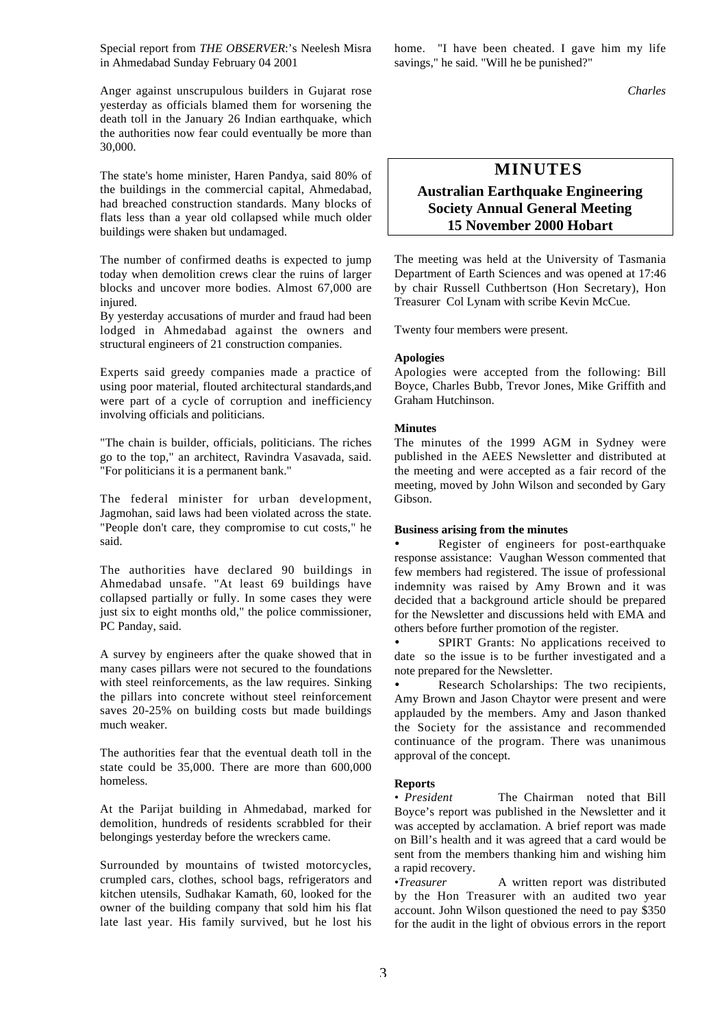Special report from *THE OBSERVER*:'s Neelesh Misra in Ahmedabad Sunday February 04 2001

Anger against unscrupulous builders in Gujarat rose yesterday as officials blamed them for worsening the death toll in the January 26 Indian earthquake, which the authorities now fear could eventually be more than 30,000.

The state's home minister, Haren Pandya, said 80% of the buildings in the commercial capital, Ahmedabad, had breached construction standards. Many blocks of flats less than a year old collapsed while much older buildings were shaken but undamaged.

The number of confirmed deaths is expected to jump today when demolition crews clear the ruins of larger blocks and uncover more bodies. Almost 67,000 are injured.

By yesterday accusations of murder and fraud had been lodged in Ahmedabad against the owners and structural engineers of 21 construction companies.

Experts said greedy companies made a practice of using poor material, flouted architectural standards,and were part of a cycle of corruption and inefficiency involving officials and politicians.

"The chain is builder, officials, politicians. The riches go to the top," an architect, Ravindra Vasavada, said. "For politicians it is a permanent bank."

The federal minister for urban development, Jagmohan, said laws had been violated across the state. "People don't care, they compromise to cut costs," he said.

The authorities have declared 90 buildings in Ahmedabad unsafe. "At least 69 buildings have collapsed partially or fully. In some cases they were just six to eight months old," the police commissioner, PC Panday, said.

A survey by engineers after the quake showed that in many cases pillars were not secured to the foundations with steel reinforcements, as the law requires. Sinking the pillars into concrete without steel reinforcement saves 20-25% on building costs but made buildings much weaker.

The authorities fear that the eventual death toll in the state could be 35,000. There are more than 600,000 homeless.

At the Parijat building in Ahmedabad, marked for demolition, hundreds of residents scrabbled for their belongings yesterday before the wreckers came.

Surrounded by mountains of twisted motorcycles, crumpled cars, clothes, school bags, refrigerators and kitchen utensils, Sudhakar Kamath, 60, looked for the owner of the building company that sold him his flat late last year. His family survived, but he lost his

home. "I have been cheated. I gave him my life savings," he said. "Will he be punished?"

*Charles*

# **MINUTES**

# **Australian Earthquake Engineering Society Annual General Meeting 15 November 2000 Hobart**

The meeting was held at the University of Tasmania Department of Earth Sciences and was opened at 17:46 by chair Russell Cuthbertson (Hon Secretary), Hon Treasurer Col Lynam with scribe Kevin McCue.

Twenty four members were present.

#### **Apologies**

Apologies were accepted from the following: Bill Boyce, Charles Bubb, Trevor Jones, Mike Griffith and Graham Hutchinson.

#### **Minutes**

The minutes of the 1999 AGM in Sydney were published in the AEES Newsletter and distributed at the meeting and were accepted as a fair record of the meeting, moved by John Wilson and seconded by Gary Gibson.

#### **Business arising from the minutes**

• Register of engineers for post-earthquake response assistance: Vaughan Wesson commented that few members had registered. The issue of professional indemnity was raised by Amy Brown and it was decided that a background article should be prepared for the Newsletter and discussions held with EMA and others before further promotion of the register.

SPIRT Grants: No applications received to date so the issue is to be further investigated and a note prepared for the Newsletter.

Research Scholarships: The two recipients, Amy Brown and Jason Chaytor were present and were applauded by the members. Amy and Jason thanked the Society for the assistance and recommended continuance of the program. There was unanimous approval of the concept.

#### **Reports**

*• President* The Chairman noted that Bill Boyce's report was published in the Newsletter and it was accepted by acclamation. A brief report was made on Bill's health and it was agreed that a card would be sent from the members thanking him and wishing him a rapid recovery.

*•Treasurer* A written report was distributed by the Hon Treasurer with an audited two year account. John Wilson questioned the need to pay \$350 for the audit in the light of obvious errors in the report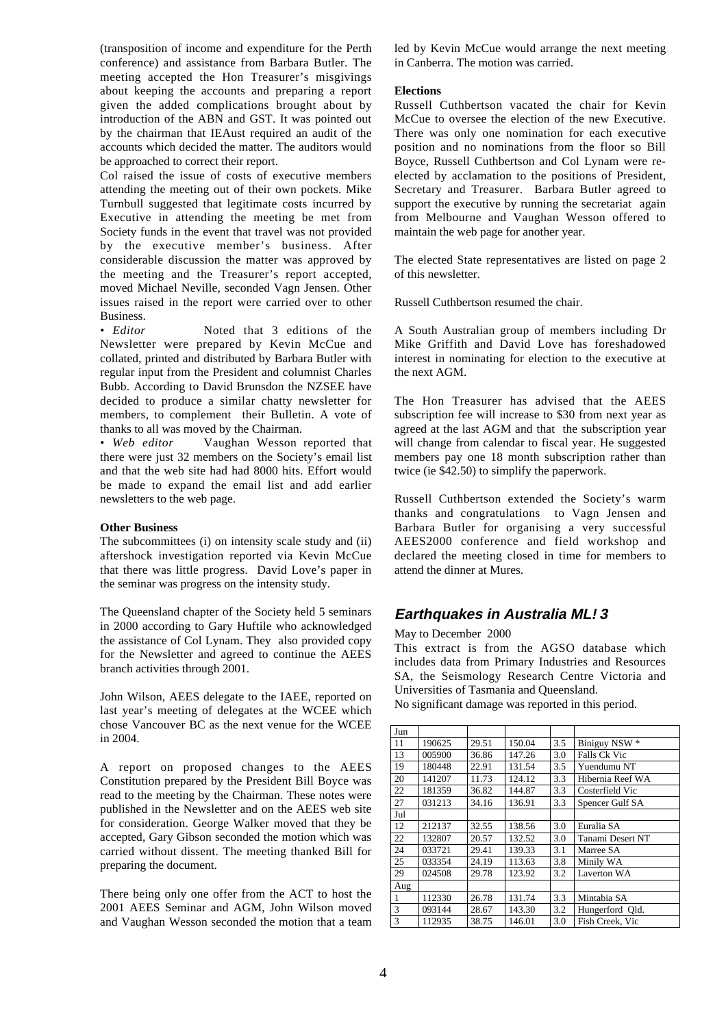(transposition of income and expenditure for the Perth conference) and assistance from Barbara Butler. The meeting accepted the Hon Treasurer's misgivings about keeping the accounts and preparing a report given the added complications brought about by introduction of the ABN and GST. It was pointed out by the chairman that IEAust required an audit of the accounts which decided the matter. The auditors would be approached to correct their report.

Col raised the issue of costs of executive members attending the meeting out of their own pockets. Mike Turnbull suggested that legitimate costs incurred by Executive in attending the meeting be met from Society funds in the event that travel was not provided by the executive member's business. After considerable discussion the matter was approved by the meeting and the Treasurer's report accepted, moved Michael Neville, seconded Vagn Jensen. Other issues raised in the report were carried over to other Business.

*• Editor* Noted that 3 editions of the Newsletter were prepared by Kevin McCue and collated, printed and distributed by Barbara Butler with regular input from the President and columnist Charles Bubb. According to David Brunsdon the NZSEE have decided to produce a similar chatty newsletter for members, to complement their Bulletin. A vote of thanks to all was moved by the Chairman.

*• Web editor* Vaughan Wesson reported that there were just 32 members on the Society's email list and that the web site had had 8000 hits. Effort would be made to expand the email list and add earlier newsletters to the web page.

#### **Other Business**

The subcommittees (i) on intensity scale study and (ii) aftershock investigation reported via Kevin McCue that there was little progress. David Love's paper in the seminar was progress on the intensity study.

The Queensland chapter of the Society held 5 seminars in 2000 according to Gary Huftile who acknowledged the assistance of Col Lynam. They also provided copy for the Newsletter and agreed to continue the AEES branch activities through 2001.

John Wilson, AEES delegate to the IAEE, reported on last year's meeting of delegates at the WCEE which chose Vancouver BC as the next venue for the WCEE in 2004.

A report on proposed changes to the AEES Constitution prepared by the President Bill Boyce was read to the meeting by the Chairman. These notes were published in the Newsletter and on the AEES web site for consideration. George Walker moved that they be accepted, Gary Gibson seconded the motion which was carried without dissent. The meeting thanked Bill for preparing the document.

There being only one offer from the ACT to host the 2001 AEES Seminar and AGM, John Wilson moved and Vaughan Wesson seconded the motion that a team led by Kevin McCue would arrange the next meeting in Canberra. The motion was carried.

#### **Elections**

Russell Cuthbertson vacated the chair for Kevin McCue to oversee the election of the new Executive. There was only one nomination for each executive position and no nominations from the floor so Bill Boyce, Russell Cuthbertson and Col Lynam were reelected by acclamation to the positions of President, Secretary and Treasurer. Barbara Butler agreed to support the executive by running the secretariat again from Melbourne and Vaughan Wesson offered to maintain the web page for another year.

The elected State representatives are listed on page 2 of this newsletter.

Russell Cuthbertson resumed the chair.

A South Australian group of members including Dr Mike Griffith and David Love has foreshadowed interest in nominating for election to the executive at the next AGM.

The Hon Treasurer has advised that the AEES subscription fee will increase to \$30 from next year as agreed at the last AGM and that the subscription year will change from calendar to fiscal year. He suggested members pay one 18 month subscription rather than twice (ie \$42.50) to simplify the paperwork.

Russell Cuthbertson extended the Society's warm thanks and congratulations to Vagn Jensen and Barbara Butler for organising a very successful AEES2000 conference and field workshop and declared the meeting closed in time for members to attend the dinner at Mures.

### **Earthquakes in Australia ML! 3**

#### May to December 2000

This extract is from the AGSO database which includes data from Primary Industries and Resources SA, the Seismology Research Centre Victoria and Universities of Tasmania and Queensland.

No significant damage was reported in this period.

| Jun |        |       |        |     |                     |
|-----|--------|-------|--------|-----|---------------------|
| 11  | 190625 | 29.51 | 150.04 | 3.5 | Biniguy NSW *       |
| 13  | 005900 | 36.86 | 147.26 | 3.0 | <b>Falls Ck Vic</b> |
| 19  | 180448 | 22.91 | 131.54 | 3.5 | Yuendumu NT         |
| 20  | 141207 | 11.73 | 124.12 | 3.3 | Hibernia Reef WA    |
| 22  | 181359 | 36.82 | 144.87 | 3.3 | Costerfield Vic     |
| 27  | 031213 | 34.16 | 136.91 | 3.3 | Spencer Gulf SA     |
| Jul |        |       |        |     |                     |
| 12  | 212137 | 32.55 | 138.56 | 3.0 | Euralia SA          |
| 22  | 132807 | 20.57 | 132.52 | 3.0 | Tanami Desert NT    |
| 24  | 033721 | 29.41 | 139.33 | 3.1 | Marree SA           |
| 25  | 033354 | 24.19 | 113.63 | 3.8 | Minily WA           |
| 29  | 024508 | 29.78 | 123.92 | 3.2 | <b>Laverton WA</b>  |
| Aug |        |       |        |     |                     |
| 1   | 112330 | 26.78 | 131.74 | 3.3 | Mintabia SA         |
| 3   | 093144 | 28.67 | 143.30 | 3.2 | Hungerford Qld.     |
| 3   | 112935 | 38.75 | 146.01 | 3.0 | Fish Creek, Vic     |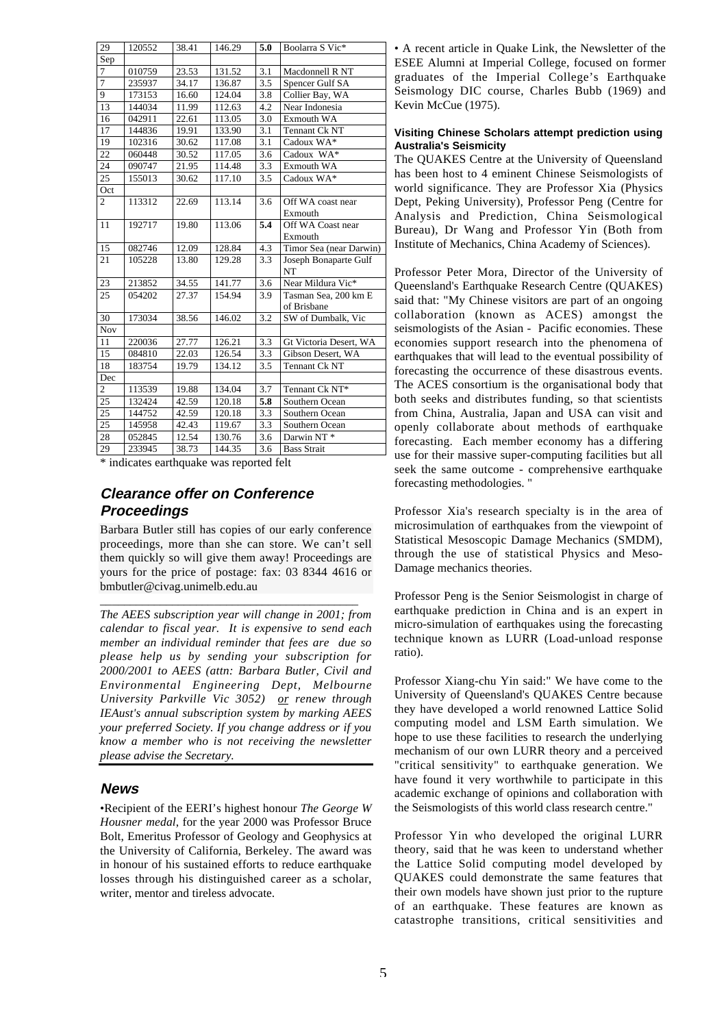| 29             | 120552 | 38.41 | 146.29 | 5.0     | Boolarra S Vic*         |
|----------------|--------|-------|--------|---------|-------------------------|
| Sep            |        |       |        |         |                         |
| $\overline{7}$ | 010759 | 23.53 | 131.52 | 3.1     | Macdonnell R NT         |
| $\overline{7}$ | 235937 | 34.17 | 136.87 | 3.5     |                         |
| 9              |        |       |        |         | Spencer Gulf SA         |
|                | 173153 | 16.60 | 124.04 | 3.8     | Collier Bay, WA         |
| 13             | 144034 | 11.99 | 112.63 | 4.2     | Near Indonesia          |
| 16             | 042911 | 22.61 | 113.05 | 3.0     | Exmouth WA              |
| 17             | 144836 | 19.91 | 133.90 | 3.1     | Tennant Ck NT           |
| 19             | 102316 | 30.62 | 117.08 | 3.1     | Cadoux WA*              |
| 22             | 060448 | 30.52 | 117.05 | 3.6     | Cadoux WA*              |
| 24             | 090747 | 21.95 | 114.48 | 3.3     | Exmouth WA              |
| 25             | 155013 | 30.62 | 117.10 | 3.5     | Cadoux WA*              |
| Oct            |        |       |        |         |                         |
| $\overline{c}$ | 113312 | 22.69 | 113.14 | 3.6     | Off WA coast near       |
|                |        |       |        |         | Exmouth                 |
| 11             | 192717 | 19.80 | 113.06 | 5.4     | Off WA Coast near       |
|                |        |       |        |         | Exmouth                 |
| 15             | 082746 | 12.09 | 128.84 | 4.3     | Timor Sea (near Darwin) |
| 21             | 105228 | 13.80 | 129.28 | 3.3     | Joseph Bonaparte Gulf   |
|                |        |       |        |         | NT                      |
| 23             | 213852 | 34.55 | 141.77 | 3.6     | Near Mildura Vic*       |
| 25             | 054202 | 27.37 | 154.94 | 3.9     | Tasman Sea, 200 km E    |
|                |        |       |        |         | of Brisbane             |
| 30             | 173034 | 38.56 | 146.02 | 3.2     | SW of Dumbalk, Vic      |
| Nov            |        |       |        |         |                         |
| 11             | 220036 | 27.77 | 126.21 | 3.3     | Gt Victoria Desert, WA  |
| 15             | 084810 | 22.03 | 126.54 | 3.3     | Gibson Desert, WA       |
| $18\,$         | 183754 | 19.79 | 134.12 | $3.5\,$ | Tennant Ck NT           |
| Dec            |        |       |        |         |                         |
| $\overline{c}$ | 113539 | 19.88 | 134.04 | 3.7     | Tennant Ck NT*          |
| 25             | 132424 | 42.59 | 120.18 | 5.8     | Southern Ocean          |
| 25             | 144752 | 42.59 | 120.18 | 3.3     | Southern Ocean          |
| 25             | 145958 | 42.43 | 119.67 | 3.3     | Southern Ocean          |
| 28             | 052845 | 12.54 | 130.76 | 3.6     | Darwin NT*              |
| 29             | 233945 | 38.73 | 144.35 | 3.6     | <b>Bass Strait</b>      |
|                |        |       |        |         |                         |

\* indicates earthquake was reported felt

### **Clearance offer on Conference Proceedings**

Barbara Butler still has copies of our early conference proceedings, more than she can store. We can't sell them quickly so will give them away! Proceedings are yours for the price of postage: fax: 03 8344 4616 or bmbutler@civag.unimelb.edu.au

\_\_\_\_\_\_\_\_\_\_\_\_\_\_\_\_\_\_\_\_\_\_\_\_\_\_\_\_\_\_\_\_\_\_\_\_\_\_\_\_\_\_\_

*The AEES subscription year will change in 2001; from calendar to fiscal year. It is expensive to send each member an individual reminder that fees are due so please help us by sending your subscription for 2000/2001 to AEES (attn: Barbara Butler, Civil and Environmental Engineering Dept, Melbourne University Parkville Vic 3052) or renew through IEAust's annual subscription system by marking AEES your preferred Society. If you change address or if you know a member who is not receiving the newsletter please advise the Secretary.*

#### **News**

•Recipient of the EERI's highest honour *The George W Housner medal*, for the year 2000 was Professor Bruce Bolt, Emeritus Professor of Geology and Geophysics at the University of California, Berkeley. The award was in honour of his sustained efforts to reduce earthquake losses through his distinguished career as a scholar, writer, mentor and tireless advocate.

• A recent article in Quake Link, the Newsletter of the ESEE Alumni at Imperial College, focused on former graduates of the Imperial College's Earthquake Seismology DIC course, Charles Bubb (1969) and Kevin McCue (1975).

#### **Visiting Chinese Scholars attempt prediction using Australia's Seismicity**

The QUAKES Centre at the University of Queensland has been host to 4 eminent Chinese Seismologists of world significance. They are Professor Xia (Physics Dept, Peking University), Professor Peng (Centre for Analysis and Prediction, China Seismological Bureau), Dr Wang and Professor Yin (Both from Institute of Mechanics, China Academy of Sciences).

Professor Peter Mora, Director of the University of Queensland's Earthquake Research Centre (QUAKES) said that: "My Chinese visitors are part of an ongoing collaboration (known as ACES) amongst the seismologists of the Asian - Pacific economies. These economies support research into the phenomena of earthquakes that will lead to the eventual possibility of forecasting the occurrence of these disastrous events. The ACES consortium is the organisational body that both seeks and distributes funding, so that scientists from China, Australia, Japan and USA can visit and openly collaborate about methods of earthquake forecasting. Each member economy has a differing use for their massive super-computing facilities but all seek the same outcome - comprehensive earthquake forecasting methodologies. "

Professor Xia's research specialty is in the area of microsimulation of earthquakes from the viewpoint of Statistical Mesoscopic Damage Mechanics (SMDM), through the use of statistical Physics and Meso-Damage mechanics theories.

Professor Peng is the Senior Seismologist in charge of earthquake prediction in China and is an expert in micro-simulation of earthquakes using the forecasting technique known as LURR (Load-unload response ratio).

Professor Xiang-chu Yin said:" We have come to the University of Queensland's QUAKES Centre because they have developed a world renowned Lattice Solid computing model and LSM Earth simulation. We hope to use these facilities to research the underlying mechanism of our own LURR theory and a perceived "critical sensitivity" to earthquake generation. We have found it very worthwhile to participate in this academic exchange of opinions and collaboration with the Seismologists of this world class research centre."

Professor Yin who developed the original LURR theory, said that he was keen to understand whether the Lattice Solid computing model developed by QUAKES could demonstrate the same features that their own models have shown just prior to the rupture of an earthquake. These features are known as catastrophe transitions, critical sensitivities and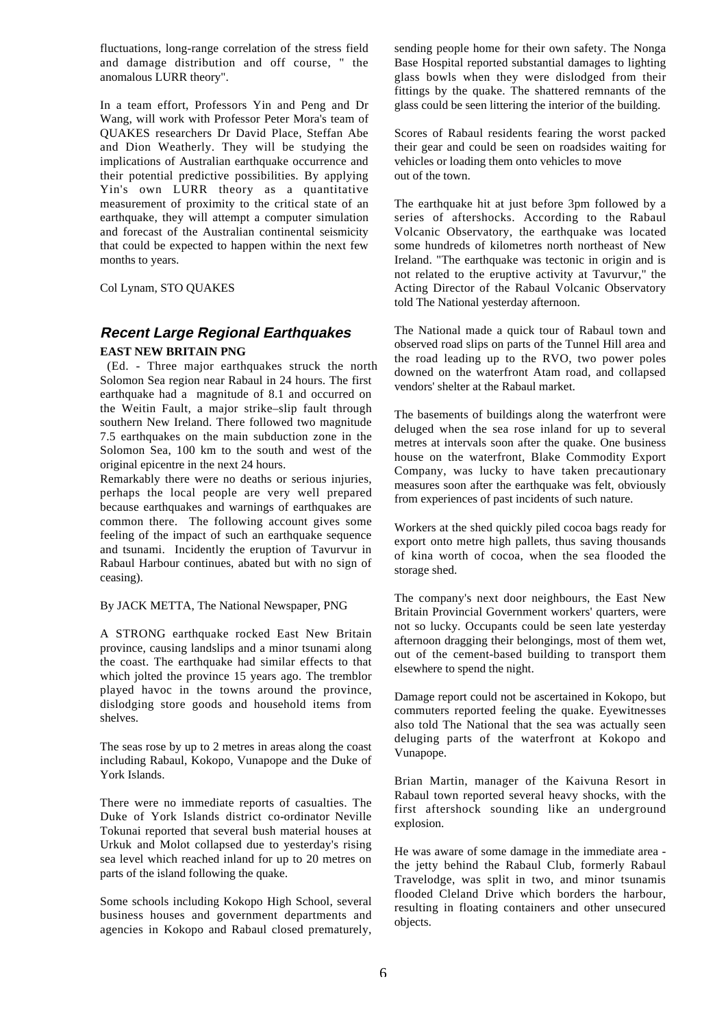fluctuations, long-range correlation of the stress field and damage distribution and off course, " the anomalous LURR theory".

In a team effort, Professors Yin and Peng and Dr Wang, will work with Professor Peter Mora's team of QUAKES researchers Dr David Place, Steffan Abe and Dion Weatherly. They will be studying the implications of Australian earthquake occurrence and their potential predictive possibilities. By applying Yin's own LURR theory as a quantitative measurement of proximity to the critical state of an earthquake, they will attempt a computer simulation and forecast of the Australian continental seismicity that could be expected to happen within the next few months to years.

Col Lynam, STO QUAKES

# **Recent Large Regional Earthquakes**

#### **EAST NEW BRITAIN PNG**

(Ed. - Three major earthquakes struck the north Solomon Sea region near Rabaul in 24 hours. The first earthquake had a magnitude of 8.1 and occurred on the Weitin Fault, a major strike–slip fault through southern New Ireland. There followed two magnitude 7.5 earthquakes on the main subduction zone in the Solomon Sea, 100 km to the south and west of the original epicentre in the next 24 hours.

Remarkably there were no deaths or serious injuries, perhaps the local people are very well prepared because earthquakes and warnings of earthquakes are common there. The following account gives some feeling of the impact of such an earthquake sequence and tsunami. Incidently the eruption of Tavurvur in Rabaul Harbour continues, abated but with no sign of ceasing).

By JACK METTA, The National Newspaper, PNG

A STRONG earthquake rocked East New Britain province, causing landslips and a minor tsunami along the coast. The earthquake had similar effects to that which jolted the province 15 years ago. The tremblor played havoc in the towns around the province, dislodging store goods and household items from shelves.

The seas rose by up to 2 metres in areas along the coast including Rabaul, Kokopo, Vunapope and the Duke of York Islands.

There were no immediate reports of casualties. The Duke of York Islands district co-ordinator Neville Tokunai reported that several bush material houses at Urkuk and Molot collapsed due to yesterday's rising sea level which reached inland for up to 20 metres on parts of the island following the quake.

Some schools including Kokopo High School, several business houses and government departments and agencies in Kokopo and Rabaul closed prematurely,

sending people home for their own safety. The Nonga Base Hospital reported substantial damages to lighting glass bowls when they were dislodged from their fittings by the quake. The shattered remnants of the glass could be seen littering the interior of the building.

Scores of Rabaul residents fearing the worst packed their gear and could be seen on roadsides waiting for vehicles or loading them onto vehicles to move out of the town.

The earthquake hit at just before 3pm followed by a series of aftershocks. According to the Rabaul Volcanic Observatory, the earthquake was located some hundreds of kilometres north northeast of New Ireland. "The earthquake was tectonic in origin and is not related to the eruptive activity at Tavurvur," the Acting Director of the Rabaul Volcanic Observatory told The National yesterday afternoon.

The National made a quick tour of Rabaul town and observed road slips on parts of the Tunnel Hill area and the road leading up to the RVO, two power poles downed on the waterfront Atam road, and collapsed vendors' shelter at the Rabaul market.

The basements of buildings along the waterfront were deluged when the sea rose inland for up to several metres at intervals soon after the quake. One business house on the waterfront, Blake Commodity Export Company, was lucky to have taken precautionary measures soon after the earthquake was felt, obviously from experiences of past incidents of such nature.

Workers at the shed quickly piled cocoa bags ready for export onto metre high pallets, thus saving thousands of kina worth of cocoa, when the sea flooded the storage shed.

The company's next door neighbours, the East New Britain Provincial Government workers' quarters, were not so lucky. Occupants could be seen late yesterday afternoon dragging their belongings, most of them wet, out of the cement-based building to transport them elsewhere to spend the night.

Damage report could not be ascertained in Kokopo, but commuters reported feeling the quake. Eyewitnesses also told The National that the sea was actually seen deluging parts of the waterfront at Kokopo and Vunapope.

Brian Martin, manager of the Kaivuna Resort in Rabaul town reported several heavy shocks, with the first aftershock sounding like an underground explosion.

He was aware of some damage in the immediate area the jetty behind the Rabaul Club, formerly Rabaul Travelodge, was split in two, and minor tsunamis flooded Cleland Drive which borders the harbour, resulting in floating containers and other unsecured objects.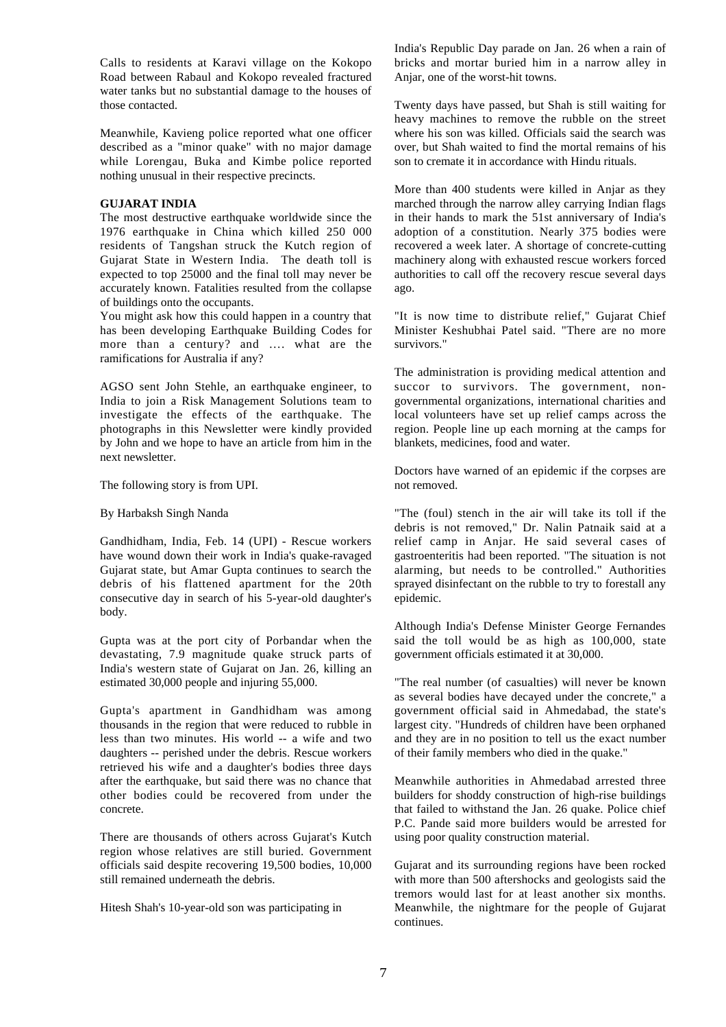Calls to residents at Karavi village on the Kokopo Road between Rabaul and Kokopo revealed fractured water tanks but no substantial damage to the houses of those contacted.

Meanwhile, Kavieng police reported what one officer described as a "minor quake" with no major damage while Lorengau, Buka and Kimbe police reported nothing unusual in their respective precincts.

#### **GUJARAT INDIA**

The most destructive earthquake worldwide since the 1976 earthquake in China which killed 250 000 residents of Tangshan struck the Kutch region of Gujarat State in Western India. The death toll is expected to top 25000 and the final toll may never be accurately known. Fatalities resulted from the collapse of buildings onto the occupants.

You might ask how this could happen in a country that has been developing Earthquake Building Codes for more than a century? and …. what are the ramifications for Australia if any?

AGSO sent John Stehle, an earthquake engineer, to India to join a Risk Management Solutions team to investigate the effects of the earthquake. The photographs in this Newsletter were kindly provided by John and we hope to have an article from him in the next newsletter.

The following story is from UPI.

#### By Harbaksh Singh Nanda

Gandhidham, India, Feb. 14 (UPI) - Rescue workers have wound down their work in India's quake-ravaged Gujarat state, but Amar Gupta continues to search the debris of his flattened apartment for the 20th consecutive day in search of his 5-year-old daughter's body.

Gupta was at the port city of Porbandar when the devastating, 7.9 magnitude quake struck parts of India's western state of Gujarat on Jan. 26, killing an estimated 30,000 people and injuring 55,000.

Gupta's apartment in Gandhidham was among thousands in the region that were reduced to rubble in less than two minutes. His world -- a wife and two daughters -- perished under the debris. Rescue workers retrieved his wife and a daughter's bodies three days after the earthquake, but said there was no chance that other bodies could be recovered from under the concrete.

There are thousands of others across Gujarat's Kutch region whose relatives are still buried. Government officials said despite recovering 19,500 bodies, 10,000 still remained underneath the debris.

Hitesh Shah's 10-year-old son was participating in

India's Republic Day parade on Jan. 26 when a rain of bricks and mortar buried him in a narrow alley in Anjar, one of the worst-hit towns.

Twenty days have passed, but Shah is still waiting for heavy machines to remove the rubble on the street where his son was killed. Officials said the search was over, but Shah waited to find the mortal remains of his son to cremate it in accordance with Hindu rituals.

More than 400 students were killed in Anjar as they marched through the narrow alley carrying Indian flags in their hands to mark the 51st anniversary of India's adoption of a constitution. Nearly 375 bodies were recovered a week later. A shortage of concrete-cutting machinery along with exhausted rescue workers forced authorities to call off the recovery rescue several days ago.

"It is now time to distribute relief," Gujarat Chief Minister Keshubhai Patel said. "There are no more survivors."

The administration is providing medical attention and succor to survivors. The government, nongovernmental organizations, international charities and local volunteers have set up relief camps across the region. People line up each morning at the camps for blankets, medicines, food and water.

Doctors have warned of an epidemic if the corpses are not removed.

"The (foul) stench in the air will take its toll if the debris is not removed," Dr. Nalin Patnaik said at a relief camp in Anjar. He said several cases of gastroenteritis had been reported. "The situation is not alarming, but needs to be controlled." Authorities sprayed disinfectant on the rubble to try to forestall any epidemic.

Although India's Defense Minister George Fernandes said the toll would be as high as 100,000, state government officials estimated it at 30,000.

"The real number (of casualties) will never be known as several bodies have decayed under the concrete," a government official said in Ahmedabad, the state's largest city. "Hundreds of children have been orphaned and they are in no position to tell us the exact number of their family members who died in the quake."

Meanwhile authorities in Ahmedabad arrested three builders for shoddy construction of high-rise buildings that failed to withstand the Jan. 26 quake. Police chief P.C. Pande said more builders would be arrested for using poor quality construction material.

Gujarat and its surrounding regions have been rocked with more than 500 aftershocks and geologists said the tremors would last for at least another six months. Meanwhile, the nightmare for the people of Gujarat continues.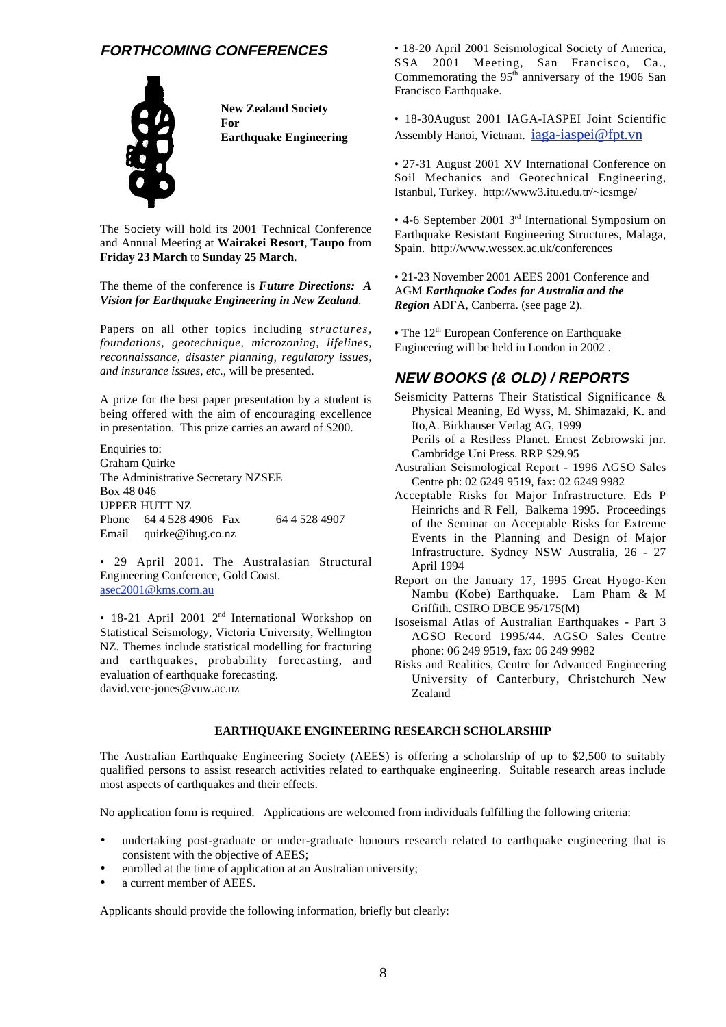# **FORTHCOMING CONFERENCES**



**New Zealand Society For Earthquake Engineering**

The Society will hold its 2001 Technical Conference and Annual Meeting at **Wairakei Resort**, **Taupo** from **Friday 23 March** to **Sunday 25 March**.

The theme of the conference is *Future Directions: A Vision for Earthquake Engineering in New Zealand*.

Papers on all other topics including *structures, foundations, geotechnique, microzoning, lifelines, reconnaissance, disaster planning, regulatory issues, and insurance issues, etc*., will be presented.

A prize for the best paper presentation by a student is being offered with the aim of encouraging excellence in presentation. This prize carries an award of \$200.

Enquiries to: Graham Quirke The Administrative Secretary NZSEE Box 48 046 UPPER HUTT NZ Phone 64 4 528 4906 Fax 64 4 528 4907 Email quirke@ihug.co.nz

• 29 April 2001. The Australasian Structural Engineering Conference, Gold Coast. asec2001@kms.com.au

• 18-21 April 2001 2<sup>nd</sup> International Workshop on Statistical Seismology, Victoria University, Wellington NZ. Themes include statistical modelling for fracturing and earthquakes, probability forecasting, and evaluation of earthquake forecasting. david.vere-jones@vuw.ac.nz

• 18-20 April 2001 Seismological Society of America, SSA 2001 Meeting, San Francisco, Ca., Commemorating the  $95<sup>th</sup>$  anniversary of the 1906 San Francisco Earthquake.

• 18-30August 2001 IAGA-IASPEI Joint Scientific Assembly Hanoi, Vietnam. *iaga-iaspei@fpt.vn* 

• 27-31 August 2001 XV International Conference on Soil Mechanics and Geotechnical Engineering, Istanbul, Turkey. http://www3.itu.edu.tr/~icsmge/

• 4-6 September 2001 3<sup>rd</sup> International Symposium on Earthquake Resistant Engineering Structures, Malaga, Spain. http://www.wessex.ac.uk/conferences

• 21-23 November 2001 AEES 2001 Conference and AGM *Earthquake Codes for Australia and the Region* ADFA, Canberra. (see page 2).

• The 12<sup>th</sup> European Conference on Earthquake Engineering will be held in London in 2002 .

# **NEW BOOKS (& OLD) / REPORTS**

- Seismicity Patterns Their Statistical Significance & Physical Meaning, Ed Wyss, M. Shimazaki, K. and Ito,A. Birkhauser Verlag AG, 1999 Perils of a Restless Planet. Ernest Zebrowski jnr. Cambridge Uni Press. RRP \$29.95
- Australian Seismological Report 1996 AGSO Sales Centre ph: 02 6249 9519, fax: 02 6249 9982
- Acceptable Risks for Major Infrastructure. Eds P Heinrichs and R Fell, Balkema 1995. Proceedings of the Seminar on Acceptable Risks for Extreme Events in the Planning and Design of Major Infrastructure. Sydney NSW Australia, 26 - 27 April 1994
- Report on the January 17, 1995 Great Hyogo-Ken Nambu (Kobe) Earthquake. Lam Pham & M Griffith. CSIRO DBCE 95/175(M)
- Isoseismal Atlas of Australian Earthquakes Part 3 AGSO Record 1995/44. AGSO Sales Centre phone: 06 249 9519, fax: 06 249 9982
- Risks and Realities, Centre for Advanced Engineering University of Canterbury, Christchurch New Zealand

#### **EARTHQUAKE ENGINEERING RESEARCH SCHOLARSHIP**

The Australian Earthquake Engineering Society (AEES) is offering a scholarship of up to \$2,500 to suitably qualified persons to assist research activities related to earthquake engineering. Suitable research areas include most aspects of earthquakes and their effects.

No application form is required. Applications are welcomed from individuals fulfilling the following criteria:

- undertaking post-graduate or under-graduate honours research related to earthquake engineering that is consistent with the objective of AEES;
- enrolled at the time of application at an Australian university;
- a current member of AEES.

Applicants should provide the following information, briefly but clearly: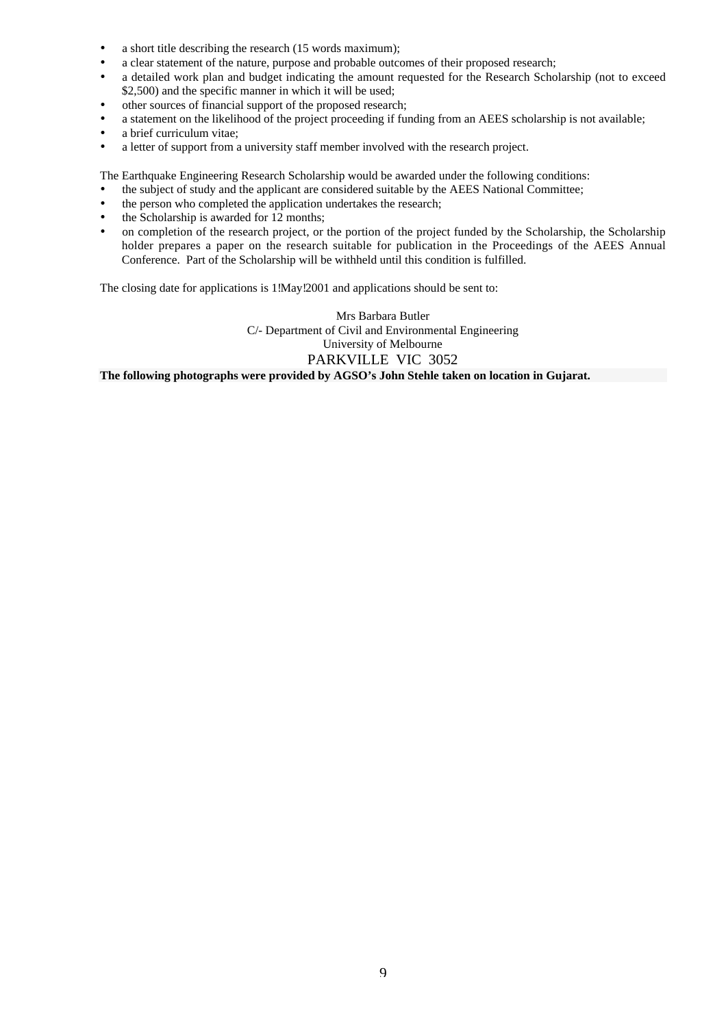- a short title describing the research (15 words maximum);
- a clear statement of the nature, purpose and probable outcomes of their proposed research;
- a detailed work plan and budget indicating the amount requested for the Research Scholarship (not to exceed \$2,500) and the specific manner in which it will be used;
- other sources of financial support of the proposed research;
- a statement on the likelihood of the project proceeding if funding from an AEES scholarship is not available;
- a brief curriculum vitae;
- a letter of support from a university staff member involved with the research project.

The Earthquake Engineering Research Scholarship would be awarded under the following conditions:

- the subject of study and the applicant are considered suitable by the AEES National Committee;
- the person who completed the application undertakes the research;
- the Scholarship is awarded for 12 months;
- on completion of the research project, or the portion of the project funded by the Scholarship, the Scholarship holder prepares a paper on the research suitable for publication in the Proceedings of the AEES Annual Conference. Part of the Scholarship will be withheld until this condition is fulfilled.

The closing date for applications is 1 May 2001 and applications should be sent to:

Mrs Barbara Butler C/- Department of Civil and Environmental Engineering University of Melbourne PARKVILLE VIC 3052

**The following photographs were provided by AGSO's John Stehle taken on location in Gujarat.**